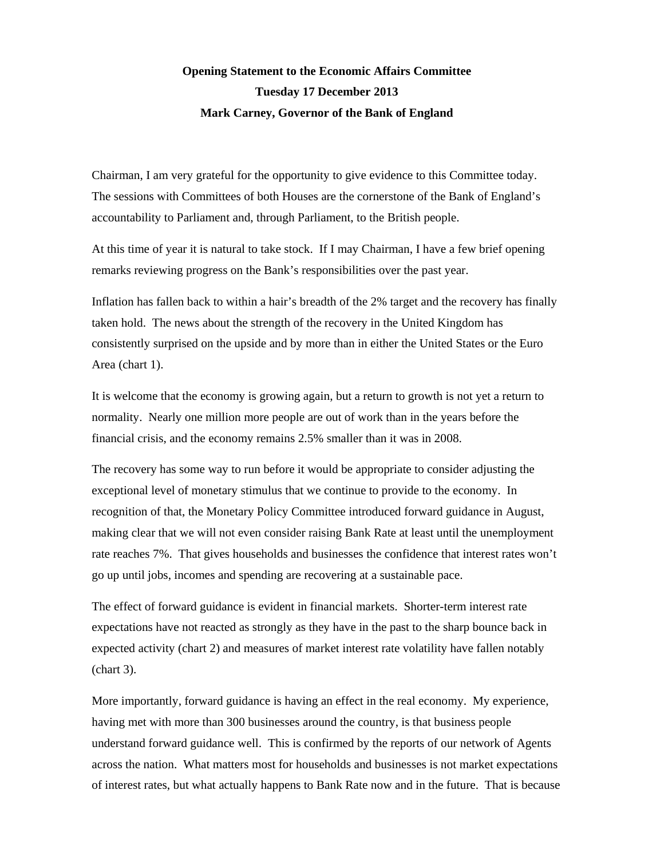## **Opening Statement to the Economic Affairs Committee Tuesday 17 December 2013 Mark Carney, Governor of the Bank of England**

Chairman, I am very grateful for the opportunity to give evidence to this Committee today. The sessions with Committees of both Houses are the cornerstone of the Bank of England's accountability to Parliament and, through Parliament, to the British people.

At this time of year it is natural to take stock. If I may Chairman, I have a few brief opening remarks reviewing progress on the Bank's responsibilities over the past year.

Inflation has fallen back to within a hair's breadth of the 2% target and the recovery has finally taken hold. The news about the strength of the recovery in the United Kingdom has consistently surprised on the upside and by more than in either the United States or the Euro Area (chart 1).

It is welcome that the economy is growing again, but a return to growth is not yet a return to normality. Nearly one million more people are out of work than in the years before the financial crisis, and the economy remains 2.5% smaller than it was in 2008.

The recovery has some way to run before it would be appropriate to consider adjusting the exceptional level of monetary stimulus that we continue to provide to the economy. In recognition of that, the Monetary Policy Committee introduced forward guidance in August, making clear that we will not even consider raising Bank Rate at least until the unemployment rate reaches 7%. That gives households and businesses the confidence that interest rates won't go up until jobs, incomes and spending are recovering at a sustainable pace.

The effect of forward guidance is evident in financial markets. Shorter-term interest rate expectations have not reacted as strongly as they have in the past to the sharp bounce back in expected activity (chart 2) and measures of market interest rate volatility have fallen notably (chart 3).

More importantly, forward guidance is having an effect in the real economy. My experience, having met with more than 300 businesses around the country, is that business people understand forward guidance well. This is confirmed by the reports of our network of Agents across the nation. What matters most for households and businesses is not market expectations of interest rates, but what actually happens to Bank Rate now and in the future. That is because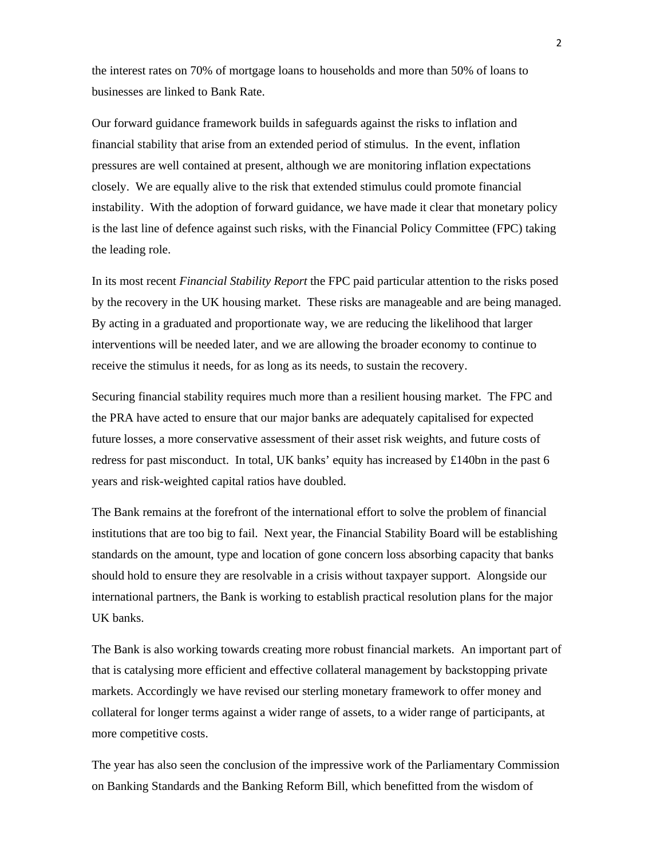the interest rates on 70% of mortgage loans to households and more than 50% of loans to businesses are linked to Bank Rate.

Our forward guidance framework builds in safeguards against the risks to inflation and financial stability that arise from an extended period of stimulus. In the event, inflation pressures are well contained at present, although we are monitoring inflation expectations closely. We are equally alive to the risk that extended stimulus could promote financial instability. With the adoption of forward guidance, we have made it clear that monetary policy is the last line of defence against such risks, with the Financial Policy Committee (FPC) taking the leading role.

In its most recent *Financial Stability Report* the FPC paid particular attention to the risks posed by the recovery in the UK housing market. These risks are manageable and are being managed. By acting in a graduated and proportionate way, we are reducing the likelihood that larger interventions will be needed later, and we are allowing the broader economy to continue to receive the stimulus it needs, for as long as its needs, to sustain the recovery.

Securing financial stability requires much more than a resilient housing market. The FPC and the PRA have acted to ensure that our major banks are adequately capitalised for expected future losses, a more conservative assessment of their asset risk weights, and future costs of redress for past misconduct. In total, UK banks' equity has increased by £140bn in the past 6 years and risk-weighted capital ratios have doubled.

The Bank remains at the forefront of the international effort to solve the problem of financial institutions that are too big to fail. Next year, the Financial Stability Board will be establishing standards on the amount, type and location of gone concern loss absorbing capacity that banks should hold to ensure they are resolvable in a crisis without taxpayer support. Alongside our international partners, the Bank is working to establish practical resolution plans for the major UK banks.

The Bank is also working towards creating more robust financial markets. An important part of that is catalysing more efficient and effective collateral management by backstopping private markets. Accordingly we have revised our sterling monetary framework to offer money and collateral for longer terms against a wider range of assets, to a wider range of participants, at more competitive costs.

The year has also seen the conclusion of the impressive work of the Parliamentary Commission on Banking Standards and the Banking Reform Bill, which benefitted from the wisdom of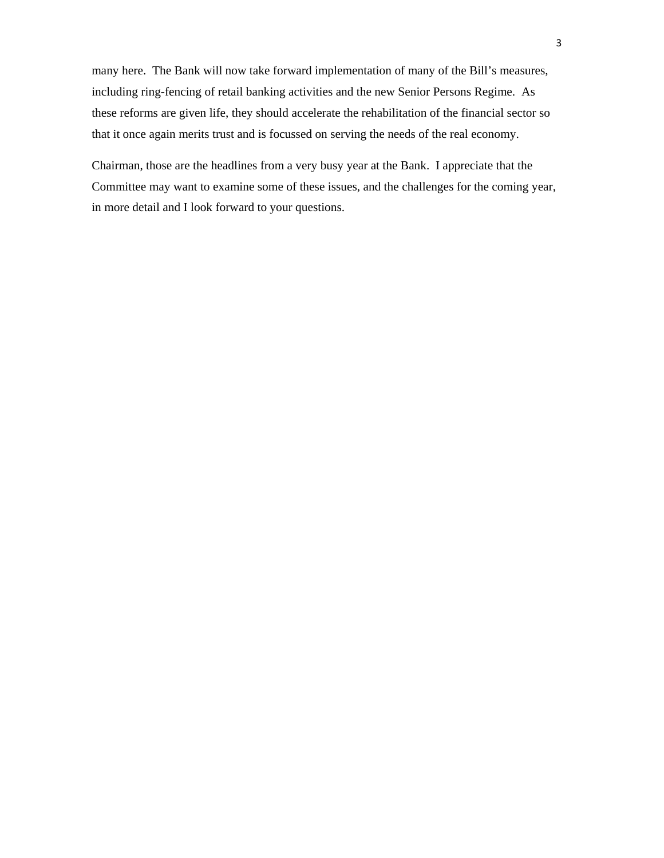many here. The Bank will now take forward implementation of many of the Bill's measures, including ring-fencing of retail banking activities and the new Senior Persons Regime. As these reforms are given life, they should accelerate the rehabilitation of the financial sector so that it once again merits trust and is focussed on serving the needs of the real economy.

Chairman, those are the headlines from a very busy year at the Bank. I appreciate that the Committee may want to examine some of these issues, and the challenges for the coming year, in more detail and I look forward to your questions.